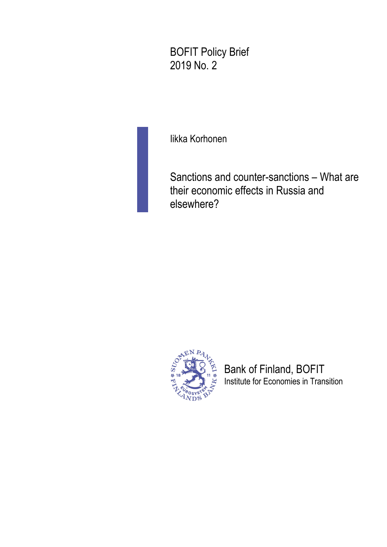BOFIT Policy Brief 2019 No. 2

Iikka Korhonen

Sanctions and counter-sanctions – What are their economic effects in Russia and elsewhere?



Bank of Finland, BOFIT Institute for Economies in Transition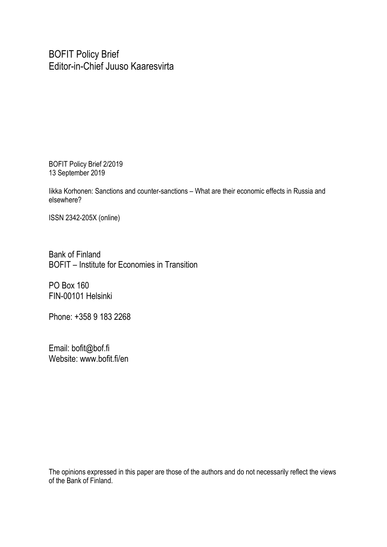BOFIT Policy Brief Editor-in-Chief Juuso Kaaresvirta

BOFIT Policy Brief 2/2019 13 September 2019

Iikka Korhonen: Sanctions and counter-sanctions – What are their economic effects in Russia and elsewhere?

ISSN 2342-205X (online)

Bank of Finland BOFIT – Institute for Economies in Transition

PO Box 160 FIN-00101 Helsinki

Phone: +358 9 183 2268

Email: bofit@bof.fi Website: www.bofit.fi/en

The opinions expressed in this paper are those of the authors and do not necessarily reflect the views of the Bank of Finland.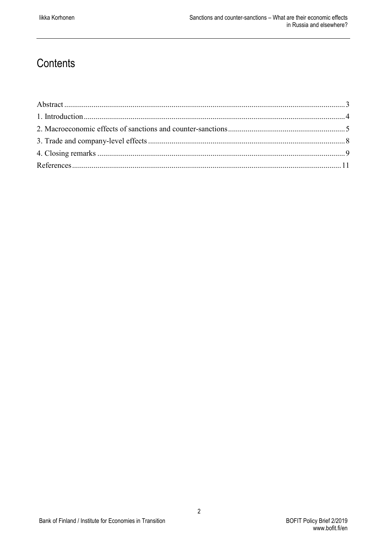## **Contents**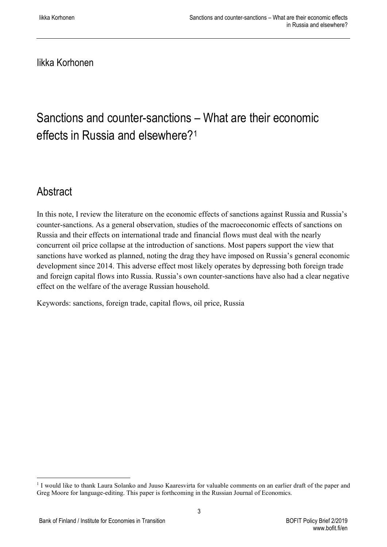Iikka Korhonen

## Sanctions and counter-sanctions – What are their economic effects in Russia and elsewhere?[1](#page-3-1)

## <span id="page-3-0"></span>Abstract

In this note, I review the literature on the economic effects of sanctions against Russia and Russia's counter-sanctions. As a general observation, studies of the macroeconomic effects of sanctions on Russia and their effects on international trade and financial flows must deal with the nearly concurrent oil price collapse at the introduction of sanctions. Most papers support the view that sanctions have worked as planned, noting the drag they have imposed on Russia's general economic development since 2014. This adverse effect most likely operates by depressing both foreign trade and foreign capital flows into Russia. Russia's own counter-sanctions have also had a clear negative effect on the welfare of the average Russian household.

Keywords: sanctions, foreign trade, capital flows, oil price, Russia

3

<span id="page-3-1"></span><sup>&</sup>lt;sup>1</sup> I would like to thank Laura Solanko and Juuso Kaaresvirta for valuable comments on an earlier draft of the paper and Greg Moore for language-editing. This paper is forthcoming in the Russian Journal of Economics.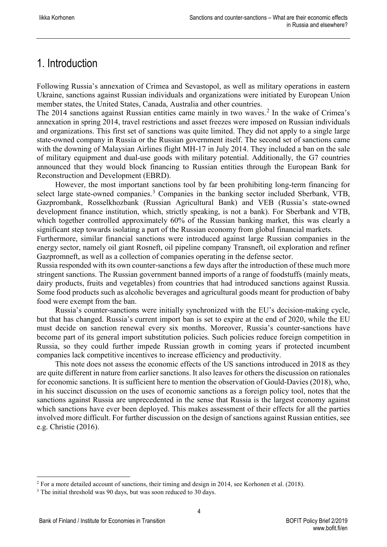### <span id="page-4-0"></span>1. Introduction

Following Russia's annexation of Crimea and Sevastopol, as well as military operations in eastern Ukraine, sanctions against Russian individuals and organizations were initiated by European Union member states, the United States, Canada, Australia and other countries.

The [2](#page-4-1)014 sanctions against Russian entities came mainly in two waves.<sup>2</sup> In the wake of Crimea's annexation in spring 2014, travel restrictions and asset freezes were imposed on Russian individuals and organizations. This first set of sanctions was quite limited. They did not apply to a single large state-owned company in Russia or the Russian government itself. The second set of sanctions came with the downing of Malaysian Airlines flight MH-17 in July 2014. They included a ban on the sale of military equipment and dual-use goods with military potential. Additionally, the G7 countries announced that they would block financing to Russian entities through the European Bank for Reconstruction and Development (EBRD).

However, the most important sanctions tool by far been prohibiting long-term financing for select large state-owned companies.<sup>[3](#page-4-2)</sup> Companies in the banking sector included Sberbank, VTB, Gazprombank, Rosselkhozbank (Russian Agricultural Bank) and VEB (Russia's state-owned development finance institution, which, strictly speaking, is not a bank). For Sberbank and VTB, which together controlled approximately 60% of the Russian banking market, this was clearly a significant step towards isolating a part of the Russian economy from global financial markets.

Furthermore, similar financial sanctions were introduced against large Russian companies in the energy sector, namely oil giant Rosneft, oil pipeline company Transneft, oil exploration and refiner Gazpromneft, as well as a collection of companies operating in the defense sector.

Russia responded with its own counter-sanctions a few days after the introduction of these much more stringent sanctions. The Russian government banned imports of a range of foodstuffs (mainly meats, dairy products, fruits and vegetables) from countries that had introduced sanctions against Russia. Some food products such as alcoholic beverages and agricultural goods meant for production of baby food were exempt from the ban.

Russia's counter-sanctions were initially synchronized with the EU's decision-making cycle, but that has changed. Russia's current import ban is set to expire at the end of 2020, while the EU must decide on sanction renewal every six months. Moreover, Russia's counter-sanctions have become part of its general import substitution policies. Such policies reduce foreign competition in Russia, so they could further impede Russian growth in coming years if protected incumbent companies lack competitive incentives to increase efficiency and productivity.

This note does not assess the economic effects of the US sanctions introduced in 2018 as they are quite different in nature from earlier sanctions. It also leaves for others the discussion on rationales for economic sanctions. It is sufficient here to mention the observation of Gould-Davies (2018), who, in his succinct discussion on the uses of economic sanctions as a foreign policy tool, notes that the sanctions against Russia are unprecedented in the sense that Russia is the largest economy against which sanctions have ever been deployed. This makes assessment of their effects for all the parties involved more difficult. For further discussion on the design of sanctions against Russian entities, see e.g. Christie (2016).

4

<span id="page-4-1"></span><sup>&</sup>lt;sup>2</sup> For a more detailed account of sanctions, their timing and design in 2014, see Korhonen et al. (2018).

<span id="page-4-2"></span><sup>&</sup>lt;sup>3</sup> The initial threshold was 90 days, but was soon reduced to 30 days.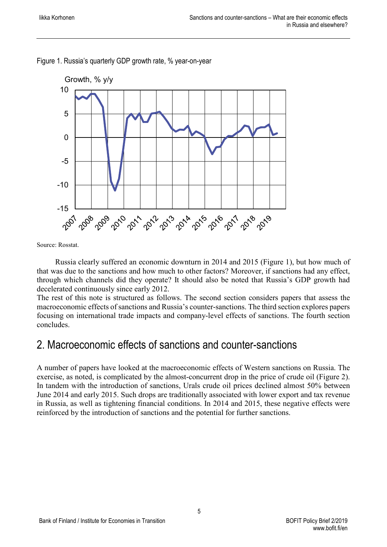

Figure 1. Russia's quarterly GDP growth rate, % year-on-year

Source: Rosstat.

Russia clearly suffered an economic downturn in 2014 and 2015 (Figure 1), but how much of that was due to the sanctions and how much to other factors? Moreover, if sanctions had any effect, through which channels did they operate? It should also be noted that Russia's GDP growth had decelerated continuously since early 2012.

The rest of this note is structured as follows. The second section considers papers that assess the macroeconomic effects of sanctions and Russia's counter-sanctions. The third section explores papers focusing on international trade impacts and company-level effects of sanctions. The fourth section concludes.

#### <span id="page-5-0"></span>2. Macroeconomic effects of sanctions and counter-sanctions

A number of papers have looked at the macroeconomic effects of Western sanctions on Russia. The exercise, as noted, is complicated by the almost-concurrent drop in the price of crude oil (Figure 2). In tandem with the introduction of sanctions, Urals crude oil prices declined almost 50% between June 2014 and early 2015. Such drops are traditionally associated with lower export and tax revenue in Russia, as well as tightening financial conditions. In 2014 and 2015, these negative effects were reinforced by the introduction of sanctions and the potential for further sanctions.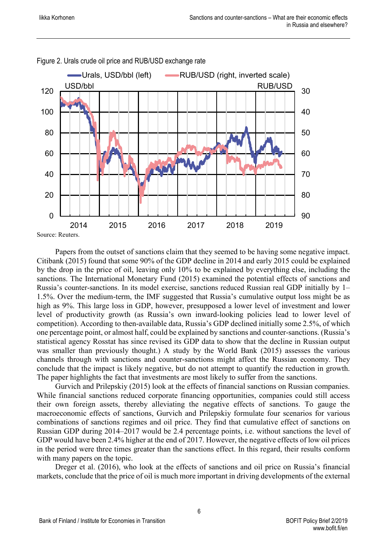

Figure 2. Urals crude oil price and RUB/USD exchange rate

Papers from the outset of sanctions claim that they seemed to be having some negative impact. Citibank (2015) found that some 90% of the GDP decline in 2014 and early 2015 could be explained by the drop in the price of oil, leaving only 10% to be explained by everything else, including the sanctions. The International Monetary Fund (2015) examined the potential effects of sanctions and Russia's counter-sanctions. In its model exercise, sanctions reduced Russian real GDP initially by 1– 1.5%. Over the medium-term, the IMF suggested that Russia's cumulative output loss might be as high as 9%. This large loss in GDP, however, presupposed a lower level of investment and lower level of productivity growth (as Russia's own inward-looking policies lead to lower level of competition). According to then-available data, Russia's GDP declined initially some 2.5%, of which one percentage point, or almost half, could be explained by sanctions and counter-sanctions. (Russia's statistical agency Rosstat has since revised its GDP data to show that the decline in Russian output was smaller than previously thought.) A study by the World Bank (2015) assesses the various channels through with sanctions and counter-sanctions might affect the Russian economy. They conclude that the impact is likely negative, but do not attempt to quantify the reduction in growth. The paper highlights the fact that investments are most likely to suffer from the sanctions.

Gurvich and Prilepskiy (2015) look at the effects of financial sanctions on Russian companies. While financial sanctions reduced corporate financing opportunities, companies could still access their own foreign assets, thereby alleviating the negative effects of sanctions. To gauge the macroeconomic effects of sanctions, Gurvich and Prilepskiy formulate four scenarios for various combinations of sanctions regimes and oil price. They find that cumulative effect of sanctions on Russian GDP during 2014–2017 would be 2.4 percentage points, i.e. without sanctions the level of GDP would have been 2.4% higher at the end of 2017. However, the negative effects of low oil prices in the period were three times greater than the sanctions effect. In this regard, their results conform with many papers on the topic.

Dreger et al. (2016), who look at the effects of sanctions and oil price on Russia's financial markets, conclude that the price of oil is much more important in driving developments of the external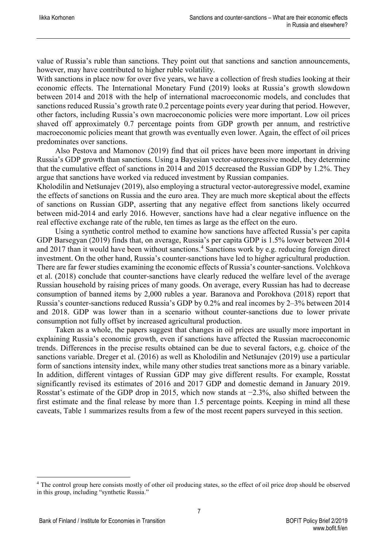value of Russia's ruble than sanctions. They point out that sanctions and sanction announcements, however, may have contributed to higher ruble volatility.

With sanctions in place now for over five years, we have a collection of fresh studies looking at their economic effects. The International Monetary Fund (2019) looks at Russia's growth slowdown between 2014 and 2018 with the help of international macroeconomic models, and concludes that sanctions reduced Russia's growth rate 0.2 percentage points every year during that period. However, other factors, including Russia's own macroeconomic policies were more important. Low oil prices shaved off approximately 0.7 percentage points from GDP growth per annum, and restrictive macroeconomic policies meant that growth was eventually even lower. Again, the effect of oil prices predominates over sanctions.

Also Pestova and Mamonov (2019) find that oil prices have been more important in driving Russia's GDP growth than sanctions. Using a Bayesian vector-autoregressive model, they determine that the cumulative effect of sanctions in 2014 and 2015 decreased the Russian GDP by 1.2%. They argue that sanctions have worked via reduced investment by Russian companies.

Kholodilin and Netšunajev (2019), also employing a structural vector-autoregressive model, examine the effects of sanctions on Russia and the euro area. They are much more skeptical about the effects of sanctions on Russian GDP, asserting that any negative effect from sanctions likely occurred between mid-2014 and early 2016. However, sanctions have had a clear negative influence on the real effective exchange rate of the ruble, ten times as large as the effect on the euro.

Using a synthetic control method to examine how sanctions have affected Russia's per capita GDP Barsegyan (2019) finds that, on average, Russia's per capita GDP is 1.5% lower between 2014 and 2017 than it would have been without sanctions.<sup>[4](#page-7-0)</sup> Sanctions work by e.g. reducing foreign direct investment. On the other hand, Russia's counter-sanctions have led to higher agricultural production. There are far fewer studies examining the economic effects of Russia's counter-sanctions. Volchkova et al. (2018) conclude that counter-sanctions have clearly reduced the welfare level of the average Russian household by raising prices of many goods. On average, every Russian has had to decrease consumption of banned items by 2,000 rubles a year. Baranova and Porokhova (2018) report that Russia's counter-sanctions reduced Russia's GDP by 0.2% and real incomes by 2–3% between 2014 and 2018. GDP was lower than in a scenario without counter-sanctions due to lower private consumption not fully offset by increased agricultural production.

Taken as a whole, the papers suggest that changes in oil prices are usually more important in explaining Russia's economic growth, even if sanctions have affected the Russian macroeconomic trends. Differences in the precise results obtained can be due to several factors, e.g. choice of the sanctions variable. Dreger et al. (2016) as well as Kholodilin and Netšunajev (2019) use a particular form of sanctions intensity index, while many other studies treat sanctions more as a binary variable. In addition, different vintages of Russian GDP may give different results. For example, Rosstat significantly revised its estimates of 2016 and 2017 GDP and domestic demand in January 2019. Rosstat's estimate of the GDP drop in 2015, which now stands at −2.3%, also shifted between the first estimate and the final release by more than 1.5 percentage points. Keeping in mind all these caveats, Table 1 summarizes results from a few of the most recent papers surveyed in this section.

<span id="page-7-0"></span> <sup>4</sup> The control group here consists mostly of other oil producing states, so the effect of oil price drop should be observed in this group, including "synthetic Russia."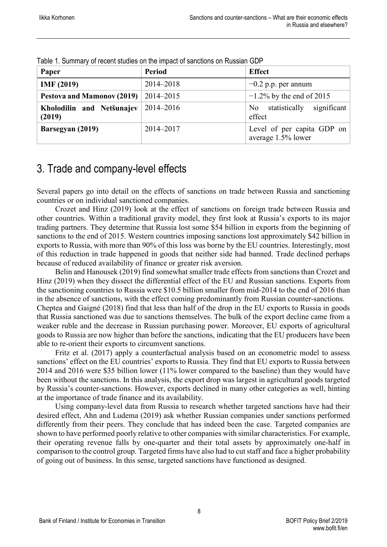| Paper                               | <b>Period</b> | <b>Effect</b>                                    |
|-------------------------------------|---------------|--------------------------------------------------|
| <b>IMF</b> (2019)                   | 2014-2018     | $-0.2$ p.p. per annum                            |
| Pestova and Mamonov (2019)          | 2014–2015     | $-1.2\%$ by the end of 2015                      |
| Kholodilin and Netšunajev<br>(2019) | 2014-2016     | No statistically significant<br>effect           |
| Barsegyan (2019)                    | 2014-2017     | Level of per capita GDP on<br>average 1.5% lower |

Table 1. Summary of recent studies on the impact of sanctions on Russian GDP

## <span id="page-8-0"></span>3. Trade and company-level effects

Several papers go into detail on the effects of sanctions on trade between Russia and sanctioning countries or on individual sanctioned companies.

Crozet and Hinz (2019) look at the effect of sanctions on foreign trade between Russia and other countries. Within a traditional gravity model, they first look at Russia's exports to its major trading partners. They determine that Russia lost some \$54 billion in exports from the beginning of sanctions to the end of 2015. Western countries imposing sanctions lost approximately \$42 billion in exports to Russia, with more than 90% of this loss was borne by the EU countries. Interestingly, most of this reduction in trade happened in goods that neither side had banned. Trade declined perhaps because of reduced availability of finance or greater risk aversion.

Belin and Hanousek (2019) find somewhat smaller trade effects from sanctions than Crozet and Hinz (2019) when they dissect the differential effect of the EU and Russian sanctions. Exports from the sanctioning countries to Russia were \$10.5 billion smaller from mid-2014 to the end of 2016 than in the absence of sanctions, with the effect coming predominantly from Russian counter-sanctions. Cheptea and Gaigné (2018) find that less than half of the drop in the EU exports to Russia in goods that Russia sanctioned was due to sanctions themselves. The bulk of the export decline came from a weaker ruble and the decrease in Russian purchasing power. Moreover, EU exports of agricultural goods to Russia are now higher than before the sanctions, indicating that the EU producers have been able to re-orient their exports to circumvent sanctions.

Fritz et al. (2017) apply a counterfactual analysis based on an econometric model to assess sanctions' effect on the EU countries' exports to Russia. They find that EU exports to Russia between 2014 and 2016 were \$35 billion lower (11% lower compared to the baseline) than they would have been without the sanctions. In this analysis, the export drop was largest in agricultural goods targeted by Russia's counter-sanctions. However, exports declined in many other categories as well, hinting at the importance of trade finance and its availability.

Using company-level data from Russia to research whether targeted sanctions have had their desired effect, Ahn and Ludema (2019) ask whether Russian companies under sanctions performed differently from their peers. They conclude that has indeed been the case. Targeted companies are shown to have performed poorly relative to other companies with similar characteristics. For example, their operating revenue falls by one-quarter and their total assets by approximately one-half in comparison to the control group. Targeted firms have also had to cut staff and face a higher probability of going out of business. In this sense, targeted sanctions have functioned as designed.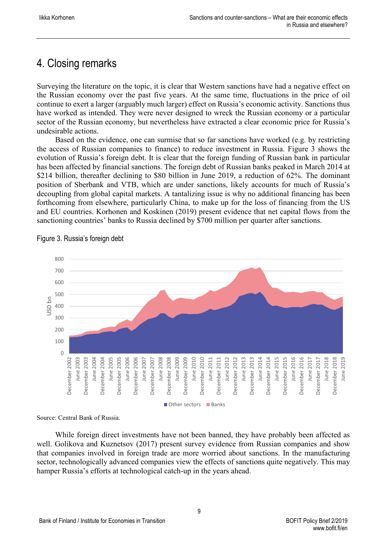## <span id="page-9-0"></span>4. Closing remarks

Surveying the literature on the topic, it is clear that Western sanctions have had a negative effect on the Russian economy over the past five years. At the same time, fluctuations in the price of oil continue to exert a larger (arguably much larger) effect on Russia's economic activity. Sanctions thus have worked as intended. They were never designed to wreck the Russian economy or a particular sector of the Russian economy, but nevertheless have extracted a clear economic price for Russia's undesirable actions.

Based on the evidence, one can surmise that so far sanctions have worked (e.g. by restricting the access of Russian companies to finance) to reduce investment in Russia. Figure 3 shows the evolution of Russia's foreign debt. It is clear that the foreign funding of Russian bank in particular has been affected by financial sanctions. The foreign debt of Russian banks peaked in March 2014 at \$214 billion, thereafter declining to \$80 billion in June 2019, a reduction of 62%. The dominant position of Sberbank and VTB, which are under sanctions, likely accounts for much of Russia's decoupling from global capital markets. A tantalizing issue is why no additional financing has been forthcoming from elsewhere, particularly China, to make up for the loss of financing from the US and EU countries. Korhonen and Koskinen (2019) present evidence that net capital flows from the sanctioning countries' banks to Russia declined by \$700 million per quarter after sanctions.



Figure 3. Russia's foreign debt

Source: Central Bank of Russia.

While foreign direct investments have not been banned, they have probably been affected as well. Golikova and Kuznetsov (2017) present survey evidence from Russian companies and show that companies involved in foreign trade are more worried about sanctions. In the manufacturing sector, technologically advanced companies view the effects of sanctions quite negatively. This may hamper Russia's efforts at technological catch-up in the years ahead.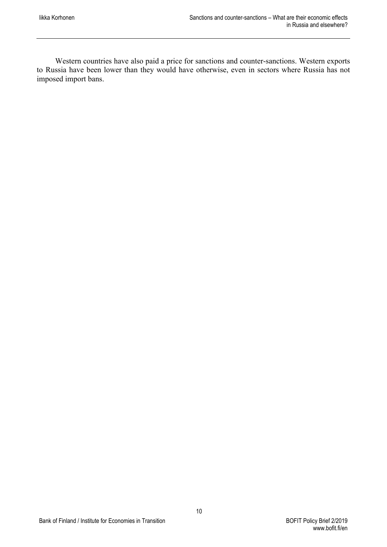Western countries have also paid a price for sanctions and counter-sanctions. Western exports to Russia have been lower than they would have otherwise, even in sectors where Russia has not imposed import bans.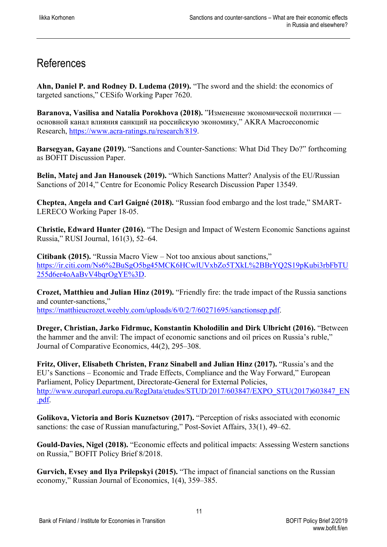## <span id="page-11-0"></span>References

**Ahn, Daniel P. and Rodney D. Ludema (2019).** "The sword and the shield: the economics of targeted sanctions," CESifo Working Paper 7620.

**Baranova, Vasilisa and Natalia Porokhova (2018).** "Изменение экономической политики основной канал влияния санкций на российскую экономику," AKRA Macroeconomic Research, [https://www.acra-ratings.ru/research/819.](https://www.acra-ratings.ru/research/819)

**Barsegyan, Gayane (2019).** "Sanctions and Counter-Sanctions: What Did They Do?" forthcoming as BOFIT Discussion Paper.

**Belin, Matej and Jan Hanousek (2019).** "Which Sanctions Matter? Analysis of the EU/Russian Sanctions of 2014," Centre for Economic Policy Research Discussion Paper 13549.

**Cheptea, Angela and Carl Gaigné (2018).** "Russian food embargo and the lost trade," SMART-LERECO Working Paper 18-05.

**Christie, Edward Hunter (2016).** "The Design and Impact of Western Economic Sanctions against Russia," RUSI Journal, 161(3), 52–64.

**Citibank (2015).** "Russia Macro View – Not too anxious about sanctions," [https://ir.citi.com/Ns6%2BuSgO5bg45MCK6HCwlUVxbZo5TXkL%2BBrYQ2S19pKubi3rbFbTU](https://ir.citi.com/Ns6%2BuSgO5bg45MCK6HCwlUVxbZo5TXkL%2BBrYQ2S19pKubi3rbFbTU255d6er4oAaBvV4bqrOgYE%3D) [255d6er4oAaBvV4bqrOgYE%3D.](https://ir.citi.com/Ns6%2BuSgO5bg45MCK6HCwlUVxbZo5TXkL%2BBrYQ2S19pKubi3rbFbTU255d6er4oAaBvV4bqrOgYE%3D)

**Crozet, Matthieu and Julian Hinz (2019).** "Friendly fire: the trade impact of the Russia sanctions and counter-sanctions," [https://matthieucrozet.weebly.com/uploads/6/0/2/7/60271695/sanctionsep.pdf.](https://matthieucrozet.weebly.com/uploads/6/0/2/7/60271695/sanctionsep.pdf)

**Dreger, Christian, Jarko Fidrmuc, Konstantin Kholodilin and Dirk Ulbricht (2016).** "Between the hammer and the anvil: The impact of economic sanctions and oil prices on Russia's ruble," Journal of Comparative Economics, 44(2), 295–308.

**Fritz, Oliver, Elisabeth Christen, Franz Sinabell and Julian Hinz (2017).** "Russia's and the EU's Sanctions – Economic and Trade Effects, Compliance and the Way Forward," European Parliament, Policy Department, Directorate-General for External Policies, [http://www.europarl.europa.eu/RegData/etudes/STUD/2017/603847/EXPO\\_STU\(2017\)603847\\_EN](http://www.europarl.europa.eu/RegData/etudes/STUD/2017/603847/EXPO_STU(2017)603847_EN.pdf) [.pdf.](http://www.europarl.europa.eu/RegData/etudes/STUD/2017/603847/EXPO_STU(2017)603847_EN.pdf)

**Golikova, Victoria and Boris Kuznetsov (2017).** "Perception of risks associated with economic sanctions: the case of Russian manufacturing," Post-Soviet Affairs, 33(1), 49–62.

**Gould-Davies, Nigel (2018).** "Economic effects and political impacts: Assessing Western sanctions on Russia," BOFIT Policy Brief 8/2018.

11

**Gurvich, Evsey and Ilya Prilepskyi (2015).** "The impact of financial sanctions on the Russian economy," Russian Journal of Economics, 1(4), 359–385.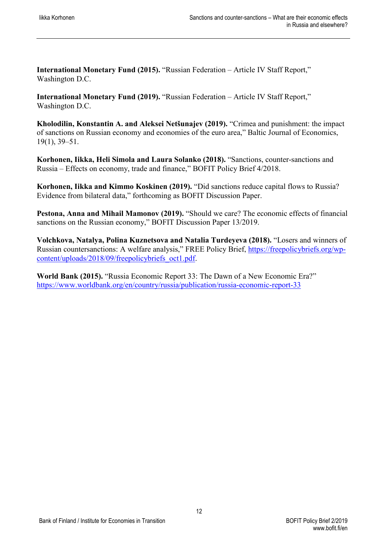**International Monetary Fund (2015).** "Russian Federation – Article IV Staff Report," Washington D.C.

**International Monetary Fund (2019).** "Russian Federation – Article IV Staff Report," Washington D.C.

**Kholodilin, Konstantin A. and Aleksei Netšunajev (2019).** "Crimea and punishment: the impact of sanctions on Russian economy and economies of the euro area," Baltic Journal of Economics, 19(1), 39–51.

**Korhonen, Iikka, Heli Simola and Laura Solanko (2018).** "Sanctions, counter-sanctions and Russia – Effects on economy, trade and finance," BOFIT Policy Brief 4/2018.

**Korhonen, Iikka and Kimmo Koskinen (2019).** "Did sanctions reduce capital flows to Russia? Evidence from bilateral data," forthcoming as BOFIT Discussion Paper.

**Pestona, Anna and Mihail Mamonov (2019).** "Should we care? The economic effects of financial sanctions on the Russian economy," BOFIT Discussion Paper 13/2019.

**Volchkova, Natalya, Polina Kuznetsova and Natalia Turdeyeva (2018).** "Losers and winners of Russian countersanctions: A welfare analysis," FREE Policy Brief, [https://freepolicybriefs.org/wp](https://freepolicybriefs.org/wp-content/uploads/2018/09/freepolicybriefs_oct1.pdf)[content/uploads/2018/09/freepolicybriefs\\_oct1.pdf.](https://freepolicybriefs.org/wp-content/uploads/2018/09/freepolicybriefs_oct1.pdf)

**World Bank (2015).** "Russia Economic Report 33: The Dawn of a New Economic Era?" <https://www.worldbank.org/en/country/russia/publication/russia-economic-report-33>